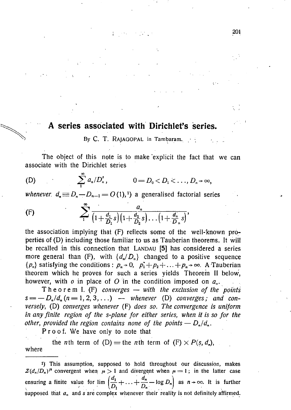## **A series associated with Dirichlet's series.**

By C. T. RAJAGOPAL in Tambaram.

The object of this note is to make explicit the fact that we can associate with the Dirichlet series

(D) 
$$
\sum_{1}^{\infty} a_n/D_n^s
$$
,  $0 = D_0 < D_1 < ..., D_n \to \infty$ ,

*whenever.*  $d_n \equiv D_n - D_{n-1} = O(1),$ <sup>1</sup>) a generalised factorial series

(F) 
$$
\sum_{1}^{\infty} \frac{a_n}{\left(1 + \frac{d_1}{D_1} s\right)\left(1 + \frac{d_2}{D_2} s\right) \dots \left(1 + \frac{d_n}{D_n} s\right)},
$$

the association implying that (F) reflects some of the well-known propertiés of (D) including those familiar to us as Tauberian theorems. It will be recalled in this connection that LANDAU [5] has considered a series more general than (F), with  $\{d_n/D_n\}$  changed to a positive sequence  ${p_n}$  satisfying the conditions :  $p_n \rightarrow 0$ ,  $p_1 + p_2 + \ldots + p_n \rightarrow \infty$ . A Tauberian theorem which he proves for such a series yields Theorem II below, however, with  $o$  in place of  $O$  in the condition imposed on  $a_n$ .

Theore m I. (F) *converges — with the exclusion of the points*   $s = -D_n/d_n (n = 1, 2, 3, ...)$  — whenever (D) converges; and con*versely,* (D) *converges whenever* (F) *does so. The convergence is uniform in any finite region of the s-plane for either series, when it is so for the other, provided the region contains none of the points*  $-D_n/d_n$ *.* 

Proof. We have only to note that

the *n*th term of (D) = the *n*th term of (F)  $\times$  *P(s, d<sub>n</sub>)*, where

This assumption, supposed to hold throughout our discussion, makes  $\mathcal{Z}(d_n/D_n)^{\mu}$  convergent when  $\mu > 1$  and divergent when  $\mu = 1$ ; in the latter case ensuring a finite value for lim  $\left(\frac{d_1}{D_1}+\ldots+\frac{d_n}{D_n}-\log D_n\right)$  as  $n\to\infty$ . It is further supposed that  $a_n$  and s are complex whenever their reality is not definitely affirmed.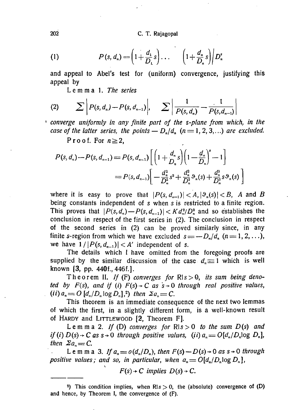202 С. T. Rajagopal

(1) 
$$
P(s, d_n) = \left(1 + \frac{d_1}{D_1}s\right)\dots \left(1 + \frac{d_n}{D_n}s\right)\middle|D_n^s
$$

and appeal to Abel's test for (uniform) convergence, justifying this appeal by

*Lemma 1. The series* 

(2) 
$$
\sum P(s, d_n) - P(s, d_{n-1})
$$
,  $\sum \left| \frac{1}{P(s, d_n)} - \frac{1}{P(s, d_{n-1})} \right|$ 

*converge uniformly in any finite part of the s-plane from which, in the case of the latter series, the points*  $-D_n/d_n$  *(n = 1, 2, 3,...) are excluded.* 

Proof. For  $n \geq 2$ ,

$$
P(s, d_n) - P(s, d_{n-1}) = P(s, d_{n-1}) \left[ \left( 1 + \frac{d_n}{D_n} s \right) \left( 1 - \frac{d_n}{D_n} \right)^s - 1 \right]
$$
  
= 
$$
P(s, d_{n-1}) \left[ -\frac{d_n^2}{D_n^2} s^2 + \frac{d_n^2}{D_n^2} \vartheta_n(s) + \frac{d_n^3}{D_n^3} s \vartheta_n(s) \right]
$$

where it is easy to prove that  $|P(s, d_{n-1})| < A, |\vartheta_n(s)| < B$ , A and B being constants independent of s when s is restricted to a finite region. This proves that  $|P(s,d_n) - P(s,d_{n-1})| < K d_n^2/D_n^2$  and so establishes the conclusion in respect of the first series in (2). The conclusion in respect of the second series in (2) can be proved similarly since, in any finite s-region from which we have excluded  $s = -D_n/d_n$  ( $n = 1, 2, ...$ ), we have  $1/|P(s, d_{n-1})| < A'$  independent of s.

The details which I have omitted from the foregoing proofs are supplied by the similar discussion of the case  $d_n \equiv 1$  which is well known [3, pp. 440f., 446f.].

Theorem II. If (F) converges for Rls > 0, its sum being deno*ted by F(s), and if (i) F(s) + C as*  $s \rightarrow 0$  *through real positive values,*  $(i)$   $a_n = O[d_n/D_n \log D_n],^2$  then  $\sum a_n = C$ .

This theorem is an immediate consequence of the next two lemmas of which the first, in a slightly different form, is a well-known result of HARDY and LITTLEWOOD [2, Theorem F].

Lemm a 2. *If* (D) *converges for*  $R/s > 0$  *to the sum D(s)* and *if* (*i*)  $D(s) \rightarrow C$  as  $s \rightarrow 0$  through positive values, (*ii*)  $a_n = O[d_n/D_n \log D_n]$ , *then*  $\sum a_n = C$ .

L e m m a 3. If  $a_n = o(d_n/D_n)$ , then  $F(s) - D(s) \rightarrow 0$  as  $s \rightarrow 0$  through *positive values; and so, in particular, when*  $a_n = O[d_n/D_n \log D_n]$ *,* 

 $F(s) \rightarrow C$  *implies*  $D(s) \rightarrow C$ .

<sup>&</sup>lt;sup>2</sup>) This condition implies, when  $R/s > 0$ , the (absolute) convergence of (D) and hence, by Theorem I, the convergence of (F).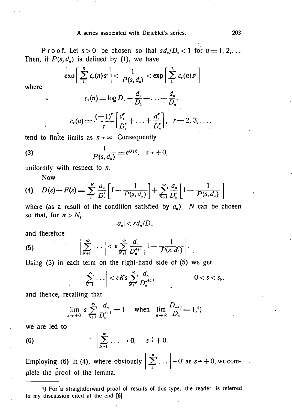## A series associated with Dirichlet's series. 203

P r o o f. Let  $s > 0$  be chosen so that  $sd_n/D_n < 1$  for  $n = 1, 2, ...$ Then, if  $P(s, d_n)$  is defined by (1), we have

$$
\exp\left[\sum_{1}^{3}c_{r}(n)s^{r}\right]<\frac{1}{P(s,d_{n})}<\exp\left[\sum_{1}^{2}c_{r}(n)s^{r}\right]
$$

where

$$
c_1(n) = \log D_n - \frac{d_1}{D_1} - \ldots - \frac{d_n}{D_n},
$$

$$
c_r(n) = \frac{(-1)^r}{r} \left[ \frac{d_1^r}{D_1^r} + \ldots + \frac{d_n^r}{D_n^r} \right], \ \ r = 2, 3, \ldots,
$$

tend to finite limits as  $n \rightarrow \infty$ . Consequently

(3) 
$$
\frac{1}{P(s, d_n)} = e^{O(s)}, \quad s \to +0,
$$

uniformly with respect to *n.* 

Now

(4) 
$$
D(s) - F(s) = \sum_{1}^{N} \frac{a_n}{D_n^s} \left[ 1 - \frac{1}{P(s, d_n)} \right] + \sum_{N+1}^{\infty} \frac{a_n}{D_n^s} \left[ 1 - \frac{1}{P(s, d_n)} \right]
$$

where (as a result of the condition satisfied by  $a_n$ ) N can be chosen so that, for  $n > N$ ,

$$
|a_n|<\varepsilon d_n/D_n
$$

and therefore

(5) 
$$
\left|\sum_{N+1}^{\infty} \cdots \right| < \varepsilon \sum_{N+1}^{\infty} \frac{d_n}{D_n^{s+1}} \left| 1 - \frac{1}{P(s, d_n)} \right|.
$$

Using (3) in each term on the right-hand side of (5) we get

$$
\left|\sum_{N+1}^{\infty}\ldots\right|<\varepsilon Ks\sum_{N+1}^{\infty}\frac{d_n}{D_n^{s+1}},\qquad 0
$$

and thence, recalling that

$$
\lim_{s \to +0} s \sum_{N+1}^{\infty} \frac{d_n}{D_n^{s+1}} = 1 \quad \text{when} \quad \lim_{n \to \infty} \frac{D_{n+1}}{D_n} = 1,^3
$$

we are led to

(6) 
$$
\left|\sum_{N+1}^{\infty} \ldots\right| \to 0, \quad s \to +0.
$$

Employing (6) in (4), where obviously  $\left| \begin{array}{c} 2 \end{array} \right|$   $\cdots$   $\left| \begin{array}{c} \rightarrow 0 \end{array}$  as  $s \rightarrow +0$ , we complete the proof of the lemma.

<sup>&</sup>lt;sup>3</sup>) For a straightforward proof of results of this type, the reader is referred to my discussion cited at the end [6].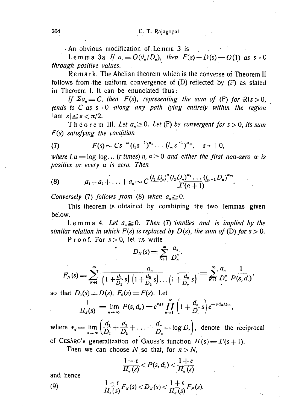• An obvious modification of.Lemma 3 is

Lemma 3a. If  $a_n = O(d_n/D_n)$ , then  $F(s) - D(s) = O(1)$  as  $s \to 0$ *through positive values.* 

Remark. The Abelian theorem which is the converse of Theorem II follows from the uniform convergence of (D) reflected by (F) as stated in Theorem I. It can be enunciated thus:

*If*  $\sum a_n = C$ , then  $F(s)$ , representing the sum of (F) for  $R \mid s > 0$ , *tends to C as*  $s \rightarrow 0$  *along any path lying entirely within the region*  $|\text{am } s| \leq x < \pi/2$ .

Theorem III. Let  $a_n \ge 0$ . Let (F) be convergent for  $s > 0$ , *its sum F(s) satisfying the condition* 

(7) 
$$
F(s) \sim Cs^{-\alpha} (l_1 s^{-1})^{\alpha_1} \ldots (l_m s^{-1})^{\alpha_m}, \quad s \to +0,
$$

*where l<sub>r</sub>* $u = \log \log \dots$  (*r* times)  $u, a \ge 0$  and either the first non-zero  $a$  is *positive or every a is zero. Then* 

(8) 
$$
a_1 + a_2 + \ldots + a_n \sim C \frac{(l_1 D_n)^{\alpha} (l_2 D_n)^{\alpha_1} \ldots (l_{m+1} D_n)^{\alpha_m}}{T(\alpha+1)}.
$$

*Conversely* (7) *follows from* (8) when  $a_n \ge 0$ .

This theorem is obtained by combining the two lemmas given below.

L e m m a 4. Let  $a_n \ge 0$ . Then (7) implies and is implied by the *similar relation in which F(s) is replaced by*  $D(s)$ *, the sum of (D) for s > 0.* 

Proof. For  $s > 0$ , let us write *00 a* 

$$
L_N(s) = \sum_{N+1}^{\infty} \frac{a_n}{D_n^s}.
$$
  

$$
F_N(s) = \sum_{N+1}^{\infty} \frac{a_n}{\left(1 + \frac{d_1}{D_1} s\right) \left(1 + \frac{d_2}{D_2} s\right) \dots \left(1 + \frac{d_n}{D_n} s\right)} = \sum_{N+1}^{\infty} \frac{a_n}{D_n^s} \frac{1}{P(s, d_n)},
$$

so that  $D_0(s) = D(s)$ ,  $F_0(s) = F(s)$ . Let

$$
\frac{1}{\prod_{d}(s)} = \lim_{n \to \infty} P(s, d_n) = e^{v_d s} \prod_{n=1}^{\infty} \left( 1 + \frac{d_n}{D_n} s \right) e^{-s d_n / D_n}
$$

where  $v_d = \lim_{n \to \infty} \left( \frac{u_1}{D_1} + \frac{u_2}{D_2} + \ldots + \frac{u_n}{D_n} - \log D_n \right)$ , denote the reciprocal of CESARO's generalization of GAUSS's function  $\Pi(s) = \Gamma(s+1)$ .

Then we can choose  $N$  so that, for  $n > N$ ,

$$
\frac{1-\varepsilon}{\prod_a(s)} < P(s,d_n) < \frac{1+\varepsilon}{\prod_a(s)}
$$

and hence

(9)

$$
\frac{1-\varepsilon}{\prod_a(s)}F_N(s) < D_N(s) < \frac{1+\varepsilon}{\prod_a(s)}F_N(s).
$$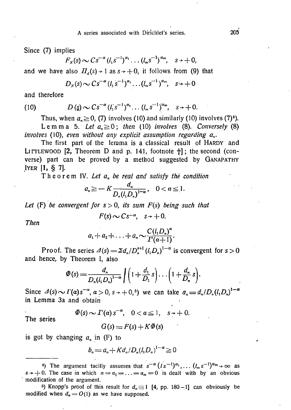Since (7) implies

$$
F_N(s) \sim Cs^{-\alpha} (l_1 s^{-1})^{\alpha_1} \ldots (l_m s^{-1})^{\alpha_m}, \quad s \to +0,
$$

and we have also  $H_a(s) \rightarrow 1$  as  $s \rightarrow +0$ , it follows from (9) that

$$
D_N(s) \sim Cs^{-\alpha} (l_1 s^{-1})^{\alpha_1} \ldots (l_m s^{-1})^{\alpha_m}, \quad s \to +0
$$

and therefore

(10) 
$$
D(s) \sim Cs^{-\alpha} (l_1 s^{-1})^{\alpha_1} \dots (l_m s^{-1})^{\alpha_m}, \quad s \to +0.
$$

Thus, when  $a_n \ge 0$ , (7) involves (10) and similarly (10) involves (7)<sup>4</sup>).

Lemm a 5. Let  $a_n \ge 0$ ; then (10) involves (8). Conversely (8) *involves* (10), even without any explicit assumption regarding  $a_n$ .

The first part of the lemma is a classical result of HARDY and LITTLEWOOD  $[2,$  Theorem D and p. 141, footnote  $\dagger$ ]; the second (converse) part can be proved by a method suggested by GANAPATHY .IYER [1, § 7].

Theore m IV. *Let an be real and satisfy the condition* 

$$
a_n \geqslant -K \frac{d_n}{D_n (l_1 D_n)^{1-\alpha}}, \quad 0 < \alpha \leqslant 1.
$$

*Let* (F) be convergent for  $s > 0$ , its sum  $F(s)$  being such that

$$
F(s) \sim Cs^{-\alpha}, \quad s \to +0.
$$

*Then* 

$$
a_1+a_2+\ldots+a_n \sim \frac{C(l_1D_n)^a}{\Gamma(\alpha+1)}.
$$

Proof. The series  $\Delta(s) = \Sigma d_n / D_n^{s+1} (l_1 D_n)^{1-\alpha}$  is convergent for  $s > 0$ and hence, by Theorem I, also

$$
\Phi(s) = \frac{d_n}{D_n(l_1 D_n)^{1-\alpha}} \bigg( \bigg( 1 + \frac{d_1}{D_1} s \bigg) \dots \bigg( 1 + \frac{d_n}{D_n} s \bigg).
$$

Since  $\Delta(s) \sim \Gamma(a)s^{-\alpha}, \quad a > 0, \quad s \to +0,5$  we can take  $a_n = d_n/D_n (l_1 D_n)^{1-\alpha}$ in Lemma 3a and obtain i

 $\Phi(s) \sim \Gamma(\alpha) s^{-\alpha}, \quad 0 < \alpha \leq 1, \quad s \to + \ 0.$ 

The series

$$
G(s) = F(s) + K\bar{\Phi}(s)
$$

is got by changing  $a_n$  in  $(F)$  to

$$
b_n = a_n + K d_n / D_n (l_1 D_n)^{1-\alpha} \geq 0
$$

<sup>5</sup>) Knopp's proof of this result for  $d_n \equiv 1$  [4, pp. 180-1] can obviously be modified when  $d_n = O(1)$  as we have supposed.

<sup>4)</sup> The argument tacitly assumes that  $s^{-\alpha} (ls^{-1})^{\alpha_1}, \ldots (l_m s^{-1})^{\alpha_m} \rightarrow \infty$  as  $s \rightarrow +0$ . The case in which  $\alpha = \alpha_1 = \ldots = \alpha_m = 0$  is dealt with by an obvious modification of the argument.